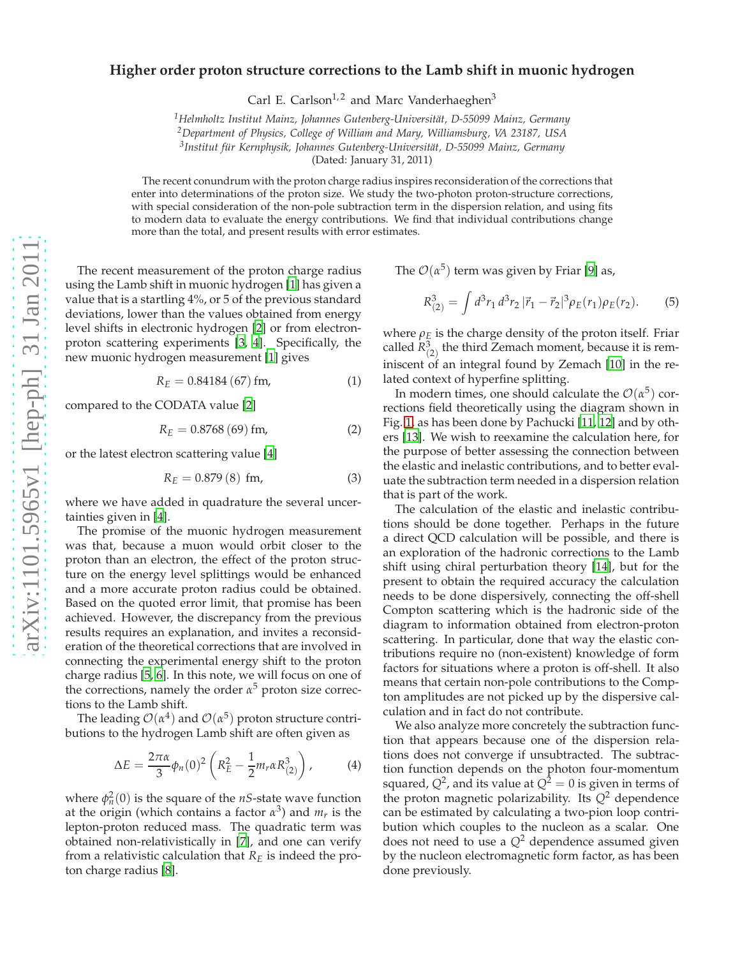## **Higher order proton structure corrections to the Lamb shift in muonic hydrogen**

Carl E. Carlson<sup>1,2</sup> and Marc Vanderhaeghen<sup>3</sup>

<sup>1</sup>Helmholtz Institut Mainz, Johannes Gutenberg-Universität, D-55099 Mainz, Germany

*<sup>2</sup>Department of Physics, College of William and Mary, Williamsburg, VA 23187, USA*

<sup>3</sup>Institut für Kernphysik, Johannes Gutenberg-Universität, D-55099 Mainz, Germany

(Dated: January 31, 2011)

The recent conundrum with the proton charge radius inspires reconsideration of the corrections that enter into determinations of the proton size. We study the two-photon proton-structure corrections, with special consideration of the non-pole subtraction term in the dispersion relation, and using fits to modern data to evaluate the energy contributions. We find that individual contributions change more than the total, and present results with error estimates.

The recent measurement of the proton charge radius using the Lamb shift in muonic hydrogen [\[1\]](#page-3-0) has given a value that is a startling 4%, or 5 of the previous standard deviations, lower than the values obtained from energy level shifts in electronic hydrogen [\[2\]](#page-3-1) or from electronproton scattering experiments [\[3,](#page-3-2) [4](#page-3-3)]. Specifically, the new muonic hydrogen measurement [\[1](#page-3-0)] gives

$$
R_E = 0.84184 (67) fm,
$$
 (1)

compared to the CODATA value [\[2\]](#page-3-1)

$$
R_E = 0.8768 (69) fm,
$$
 (2)

or the latest electron scattering value [\[4](#page-3-3)]

$$
R_E = 0.879(8) \, \text{fm}, \tag{3}
$$

where we have added in quadrature the several uncertainties given in [\[4](#page-3-3)].

The promise of the muonic hydrogen measurement was that, because a muon would orbit closer to the proton than an electron, the effect of the proton structure on the energy level splittings would be enhanced and a more accurate proton radius could be obtained. Based on the quoted error limit, that promise has been achieved. However, the discrepancy from the previous results requires an explanation, and invites a reconsideration of the theoretical corrections that are involved in connecting the experimental energy shift to the proton charge radius [\[5,](#page-3-4) [6](#page-3-5)]. In this note, we will focus on one of the corrections, namely the order  $\alpha^5$  proton size corrections to the Lamb shift.

The leading  $\mathcal{O}(\alpha^4)$  and  $\mathcal{O}(\alpha^5)$  proton structure contributions to the hydrogen Lamb shift are often given as

$$
\Delta E = \frac{2\pi\alpha}{3}\phi_n(0)^2 \left(R_E^2 - \frac{1}{2}m_r\alpha R_{(2)}^3\right),
$$
 (4)

where  $\phi_n^2(0)$  is the square of the *nS*-state wave function at the origin (which contains a factor *α* 3 ) and *mr* is the lepton-proton reduced mass. The quadratic term was obtained non-relativistically in [\[7\]](#page-3-6), and one can verify from a relativistic calculation that *R<sup>E</sup>* is indeed the proton charge radius [\[8\]](#page-3-7).

The  $\mathcal{O}(\alpha^5)$  term was given by Friar [\[9\]](#page-3-8) as,

$$
R_{(2)}^3 = \int d^3 r_1 d^3 r_2 |\vec{r}_1 - \vec{r}_2|^3 \rho_E(r_1) \rho_E(r_2). \tag{5}
$$

where  $\rho_E$  is the charge density of the proton itself. Friar called  $R^3_{(2)}$  the third Zemach moment, because it is reminiscent of an integral found by Zemach [\[10\]](#page-3-9) in the related context of hyperfine splitting.

In modern times, one should calculate the  $\mathcal{O}(\alpha^5)$  corrections field theoretically using the diagram shown in Fig. [1,](#page-1-0) as has been done by Pachucki [\[11](#page-3-10), [12](#page-3-11)] and by others [\[13](#page-3-12)]. We wish to reexamine the calculation here, for the purpose of better assessing the connection between the elastic and inelastic contributions, and to better evaluate the subtraction term needed in a dispersion relation that is part of the work.

The calculation of the elastic and inelastic contributions should be done together. Perhaps in the future a direct QCD calculation will be possible, and there is an exploration of the hadronic corrections to the Lamb shift using chiral perturbation theory [\[14](#page-3-13)], but for the present to obtain the required accuracy the calculation needs to be done dispersively, connecting the off-shell Compton scattering which is the hadronic side of the diagram to information obtained from electron-proton scattering. In particular, done that way the elastic contributions require no (non-existent) knowledge of form factors for situations where a proton is off-shell. It also means that certain non-pole contributions to the Compton amplitudes are not picked up by the dispersive calculation and in fact do not contribute.

We also analyze more concretely the subtraction function that appears because one of the dispersion relations does not converge if unsubtracted. The subtraction function depends on the photon four-momentum squared*,*  $Q^2$ *,* and its value at  $Q^2=0$  is given in terms of the proton magnetic polarizability. Its  $Q^2$  dependence can be estimated by calculating a two-pion loop contribution which couples to the nucleon as a scalar. One does not need to use a  $Q^2$  dependence assumed given by the nucleon electromagnetic form factor, as has been done previously.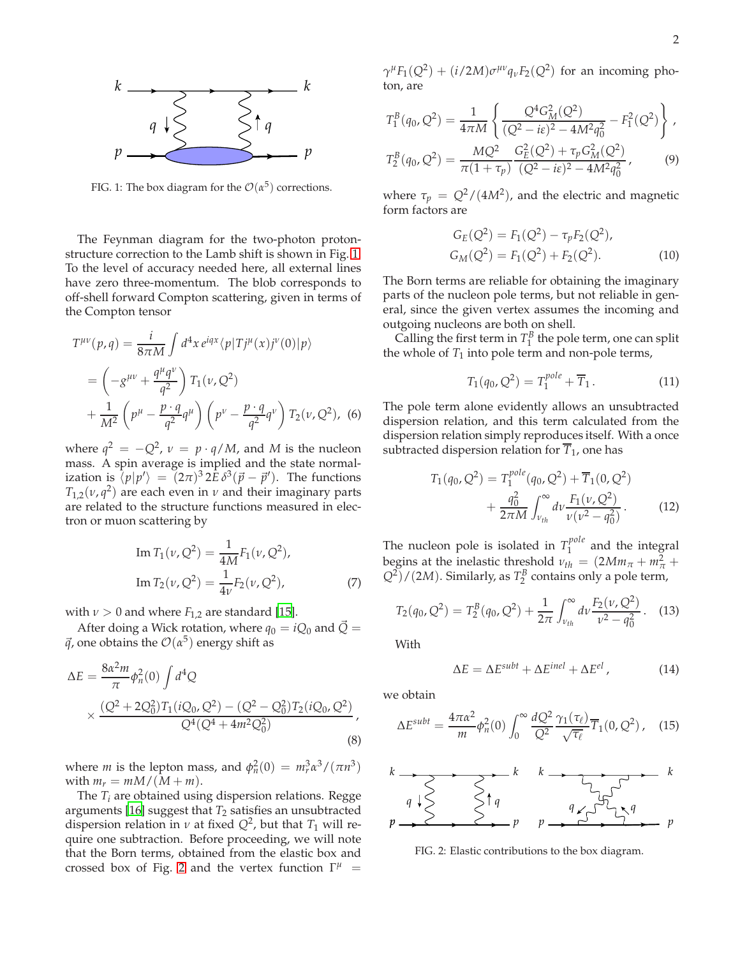

<span id="page-1-0"></span>FIG. 1: The box diagram for the  $\mathcal{O}(\alpha^5)$  corrections.

The Feynman diagram for the two-photon protonstructure correction to the Lamb shift is shown in Fig. [1.](#page-1-0) To the level of accuracy needed here, all external lines have zero three-momentum. The blob corresponds to off-shell forward Compton scattering, given in terms of the Compton tensor

$$
T^{\mu\nu}(p,q) = \frac{i}{8\pi M} \int d^4x \, e^{iqx} \langle p|Tj^{\mu}(x)j^{\nu}(0)|p \rangle
$$
  
=  $\left(-g^{\mu\nu} + \frac{q^{\mu}q^{\nu}}{q^2}\right) T_1(\nu, Q^2)$   
+  $\frac{1}{M^2} \left(p^{\mu} - \frac{p \cdot q}{q^2} q^{\mu}\right) \left(p^{\nu} - \frac{p \cdot q}{q^2} q^{\nu}\right) T_2(\nu, Q^2)$ , (6)

where  $q^2 = -Q^2$ ,  $v = p \cdot q/M$ , and *M* is the nucleon mass. A spin average is implied and the state normalization is  $\langle p|p'\rangle = (2\pi)^3 2\hat{E} \delta^3(\vec{p}-\vec{p}')$ . The functions  $T_{1,2}(\nu, q^2)$  are each even in  $\nu$  and their imaginary parts are related to the structure functions measured in electron or muon scattering by

Im 
$$
T_1(\nu, Q^2) = \frac{1}{4M} F_1(\nu, Q^2)
$$
,  
\nIm  $T_2(\nu, Q^2) = \frac{1}{4\nu} F_2(\nu, Q^2)$ , (7)

with  $\nu > 0$  and where  $F_{1,2}$  are standard [\[15\]](#page-3-14).

After doing a Wick rotation, where  $q_0 = iQ_0$  and  $\vec{Q} =$  $\vec{q}$ , one obtains the  $\mathcal{O}(\alpha^5)$  energy shift as

$$
\Delta E = \frac{8\alpha^2 m}{\pi} \phi_n^2(0) \int d^4 Q
$$
  
 
$$
\times \frac{(Q^2 + 2Q_0^2) T_1 (iQ_0, Q^2) - (Q^2 - Q_0^2) T_2 (iQ_0, Q^2)}{Q^4 (Q^4 + 4m^2 Q_0^2)},
$$
 (8)

where *m* is the lepton mass, and  $\phi_n^2(0) = m_r^3 \alpha^3 / (\pi n^3)$ with  $m_r = mM/(M+m)$ .

The *T<sup>i</sup>* are obtained using dispersion relations. Regge arguments [\[16\]](#page-3-15) suggest that  $T_2$  satisfies an unsubtracted dispersion relation in  $\nu$  at fixed  $Q^2$ , but that  $T_1$  will require one subtraction. Before proceeding, we will note that the Born terms, obtained from the elastic box and crossed box of Fig. [2](#page-1-1) and the vertex function  $\Gamma^{\mu}$  =

 $\gamma^{\mu}F_1(Q^2) + (i/2M)\sigma^{\mu\nu}q_{\nu}F_2(Q^2)$  for an incoming photon, are

$$
T_1^B(q_0, Q^2) = \frac{1}{4\pi M} \left\{ \frac{Q^4 G_M^2(Q^2)}{(Q^2 - i\epsilon)^2 - 4M^2 q_0^2} - F_1^2(Q^2) \right\},
$$
  

$$
T_2^B(q_0, Q^2) = \frac{MQ^2}{\pi (1 + \tau_p)} \frac{G_E^2(Q^2) + \tau_p G_M^2(Q^2)}{(Q^2 - i\epsilon)^2 - 4M^2 q_0^2},
$$
(9)

where  $\tau_p = Q^2/(4M^2)$ , and the electric and magnetic form factors are

$$
G_E(Q^2) = F_1(Q^2) - \tau_p F_2(Q^2),
$$
  
\n
$$
G_M(Q^2) = F_1(Q^2) + F_2(Q^2).
$$
\n(10)

The Born terms are reliable for obtaining the imaginary parts of the nucleon pole terms, but not reliable in general, since the given vertex assumes the incoming and outgoing nucleons are both on shell.

Calling the first term in  $T_1^B$  the pole term, one can split the whole of  $T_1$  into pole term and non-pole terms,

$$
T_1(q_0, Q^2) = T_1^{pole} + \overline{T}_1.
$$
 (11)

The pole term alone evidently allows an unsubtracted dispersion relation, and this term calculated from the dispersion relation simply reproduces itself. With a once subtracted dispersion relation for  $\overline{T}_1$ , one has

$$
T_1(q_0, Q^2) = T_1^{pole}(q_0, Q^2) + \overline{T}_1(0, Q^2)
$$
  
+ 
$$
\frac{q_0^2}{2\pi M} \int_{\nu_{th}}^{\infty} dv \frac{F_1(\nu, Q^2)}{\nu(\nu^2 - q_0^2)}.
$$
 (12)

The nucleon pole is isolated in  $T_1^{pole}$  $1<sup>4</sup>$  and the integral begins at the inelastic threshold  $v_{th} = (2Mm_{\pi} + m_{\pi}^2 + m_{\pi}^2)$  $(Q^2)/(2M)$ . Similarly, as  $T_2^B$  contains only a pole term,

$$
T_2(q_0, Q^2) = T_2^B(q_0, Q^2) + \frac{1}{2\pi} \int_{\nu_{th}}^{\infty} d\nu \frac{F_2(\nu, Q^2)}{\nu^2 - q_0^2}.
$$
 (13)

With

$$
\Delta E = \Delta E^{subt} + \Delta E^{inel} + \Delta E^{el} \,, \tag{14}
$$

we obtain

$$
\Delta E^{subt} = \frac{4\pi\alpha^2}{m} \phi_n^2(0) \int_0^\infty \frac{dQ^2}{Q^2} \frac{\gamma_1(\tau_\ell)}{\sqrt{\tau_\ell}} \overline{T}_1(0, Q^2) \,, \quad (15)
$$



<span id="page-1-1"></span>FIG. 2: Elastic contributions to the box diagram.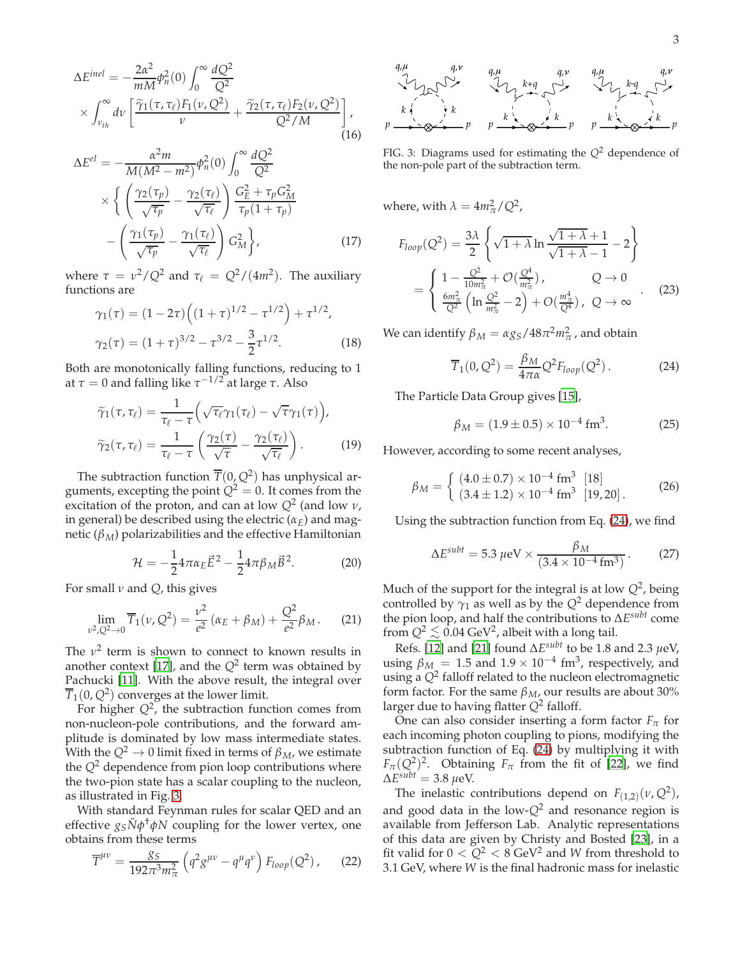$$
\Delta E^{inel} = -\frac{2\alpha^2}{mM} \phi_n^2(0) \int_0^\infty \frac{dQ^2}{Q^2} \times \int_{\nu_{th}}^\infty dv \left[ \frac{\tilde{\gamma}_1(\tau, \tau_\ell) F_1(\nu, Q^2)}{\nu} + \frac{\tilde{\gamma}_2(\tau, \tau_\ell) F_2(\nu, Q^2)}{Q^2/M} \right],
$$
\n(16)

$$
\Delta E^{el} = -\frac{\alpha^2 m}{M(M^2 - m^2)} \phi_n^2(0) \int_0^\infty \frac{dQ^2}{Q^2} \times \left\{ \left( \frac{\gamma_2(\tau_p)}{\sqrt{\tau_p}} - \frac{\gamma_2(\tau_\ell)}{\sqrt{\tau_\ell}} \right) \frac{G_E^2 + \tau_p G_M^2}{\tau_p (1 + \tau_p)} - \left( \frac{\gamma_1(\tau_p)}{\sqrt{\tau_p}} - \frac{\gamma_1(\tau_\ell)}{\sqrt{\tau_\ell}} \right) G_M^2 \right\},
$$
(17)

where  $\tau = \nu^2/Q^2$  and  $\tau_{\ell} = Q^2/(4m^2)$ . The auxiliary functions are

$$
\gamma_1(\tau) = (1 - 2\tau) \left( (1 + \tau)^{1/2} - \tau^{1/2} \right) + \tau^{1/2},
$$
  
\n
$$
\gamma_2(\tau) = (1 + \tau)^{3/2} - \tau^{3/2} - \frac{3}{2} \tau^{1/2}.
$$
\n(18)

Both are monotonically falling functions, reducing to 1 at  $τ = 0$  and falling like  $τ^{-1/2}$  at large *τ*. Also

$$
\widetilde{\gamma}_1(\tau, \tau_\ell) = \frac{1}{\tau_\ell - \tau} \Big( \sqrt{\tau_\ell} \gamma_1(\tau_\ell) - \sqrt{\tau} \gamma_1(\tau) \Big),
$$

$$
\widetilde{\gamma}_2(\tau, \tau_\ell) = \frac{1}{\tau_\ell - \tau} \left( \frac{\gamma_2(\tau)}{\sqrt{\tau}} - \frac{\gamma_2(\tau_\ell)}{\sqrt{\tau_\ell}} \right). \tag{19}
$$

The subtraction function  $\overline{T}(0,Q^2)$  has unphysical arguments, excepting the point  $Q^2 = 0$ . It comes from the excitation of the proton, and can at low *Q*<sup>2</sup> (and low *ν*, in general) be described using the electric  $(\alpha_E)$  and magnetic ( $β<sub>M</sub>$ ) polarizabilities and the effective Hamiltonian

$$
\mathcal{H} = -\frac{1}{2} 4\pi \alpha_E \vec{E}^2 - \frac{1}{2} 4\pi \beta_M \vec{B}^2.
$$
 (20)

For small *ν* and *Q*, this gives

$$
\lim_{\nu^2, Q^2 \to 0} \overline{T}_1(\nu, Q^2) = \frac{\nu^2}{e^2} (\alpha_E + \beta_M) + \frac{Q^2}{e^2} \beta_M.
$$
 (21)

The  $v^2$  term is shown to connect to known results in another context [\[17\]](#page-3-16), and the  $Q^2$  term was obtained by Pachucki [\[11\]](#page-3-10). With the above result, the integral over  $\overline{T}_1(0,Q^2)$  converges at the lower limit.

For higher  $Q^2$ , the subtraction function comes from non-nucleon-pole contributions, and the forward amplitude is dominated by low mass intermediate states. With the  $Q^2 \to 0$  limit fixed in terms of  $\beta_M$ , we estimate the  $Q^2$  dependence from pion loop contributions where the two-pion state has a scalar coupling to the nucleon, as illustrated in Fig. [3.](#page-2-0)

With standard Feynman rules for scalar QED and an effective *gSN*¯ *φ* †*φN* coupling for the lower vertex, one obtains from these terms

$$
\overline{T}^{\mu\nu} = \frac{g_S}{192\pi^3 m_\pi^2} \left( q^2 g^{\mu\nu} - q^\mu q^\nu \right) F_{loop}(Q^2) \,, \tag{22}
$$



<span id="page-2-0"></span>FIG. 3: Diagrams used for estimating the *Q*<sup>2</sup> dependence of the non-pole part of the subtraction term.

where, with  $\lambda = 4m_{\pi}^2/Q^2$ ,

$$
F_{loop}(Q^{2}) = \frac{3\lambda}{2} \left\{ \sqrt{1 + \lambda} \ln \frac{\sqrt{1 + \lambda} + 1}{\sqrt{1 + \lambda} - 1} - 2 \right\}
$$
  
= 
$$
\left\{ \frac{1 - \frac{Q^{2}}{10m_{\pi}^{2}} + \mathcal{O}(\frac{Q^{4}}{m_{\pi}^{2}})}{\frac{6m_{\pi}^{2}}{Q^{2}} \left( \ln \frac{Q^{2}}{m_{\pi}^{2}} - 2 \right) + \mathcal{O}(\frac{m_{\pi}^{4}}{Q^{4}}), \ Q \to \infty \right\}
$$
 (23)

We can identify  $\beta_M = \alpha g_S / 48 \pi^2 m_\pi^2$  , and obtain

<span id="page-2-1"></span>
$$
\overline{T}_1(0,Q^2) = \frac{\beta_M}{4\pi\alpha} Q^2 F_{loop}(Q^2) \,. \tag{24}
$$

The Particle Data Group gives [\[15](#page-3-14)],

$$
\beta_M = (1.9 \pm 0.5) \times 10^{-4} \text{ fm}^3. \tag{25}
$$

However, according to some recent analyses,

$$
\beta_M = \begin{cases} (4.0 \pm 0.7) \times 10^{-4} \text{ fm}^3 \quad [18] \\ (3.4 \pm 1.2) \times 10^{-4} \text{ fm}^3 \quad [19, 20] \,. \end{cases} \tag{26}
$$

Using the subtraction function from Eq. [\(24\)](#page-2-1), we find

$$
\Delta E^{subt} = 5.3 \,\mu\text{eV} \times \frac{\beta_M}{(3.4 \times 10^{-4} \,\text{fm}^3)}\,. \tag{27}
$$

Much of the support for the integral is at low *Q*<sup>2</sup> , being controlled by  $\gamma_1$  as well as by the  $Q^2$  dependence from the pion loop, and half the contributions to ∆*E subt* come from  $Q^2 \lesssim 0.04 \text{ GeV}^2$ , albeit with a long tail.<br> $R_1 f_1 = 0.64 \text{ GeV}^2$ 

Refs. [\[12\]](#page-3-11) and [\[21](#page-3-17)] found ∆*E subt* to be 1.8 and 2.3 *µ*eV, using  $\beta_M = 1.5$  and  $1.9 \times 10^{-4}$  fm<sup>3</sup>, respectively, and using a *Q*<sup>2</sup> falloff related to the nucleon electromagnetic form factor. For the same *βM*, our results are about 30% larger due to having flatter *Q*<sup>2</sup> falloff.

One can also consider inserting a form factor  $F_\pi$  for each incoming photon coupling to pions, modifying the subtraction function of Eq. [\(24\)](#page-2-1) by multiplying it with  $F_{\pi}(Q^2)^2$ . Obtaining  $F_{\pi}$  from the fit of [\[22\]](#page-3-18), we find  $\Delta E^{subt} = 3.8 \ \mu \text{eV}.$ 

The inelastic contributions depend on  $F_{(1,2)}(\nu, Q^2)$ , and good data in the low- $Q^2$  and resonance region is available from Jefferson Lab. Analytic representations of this data are given by Christy and Bosted [\[23](#page-3-19)], in a fit valid for  $0 < Q^2 < 8$  GeV<sup>2</sup> and *W* from threshold to 3.1 GeV, where *W* is the final hadronic mass for inelastic